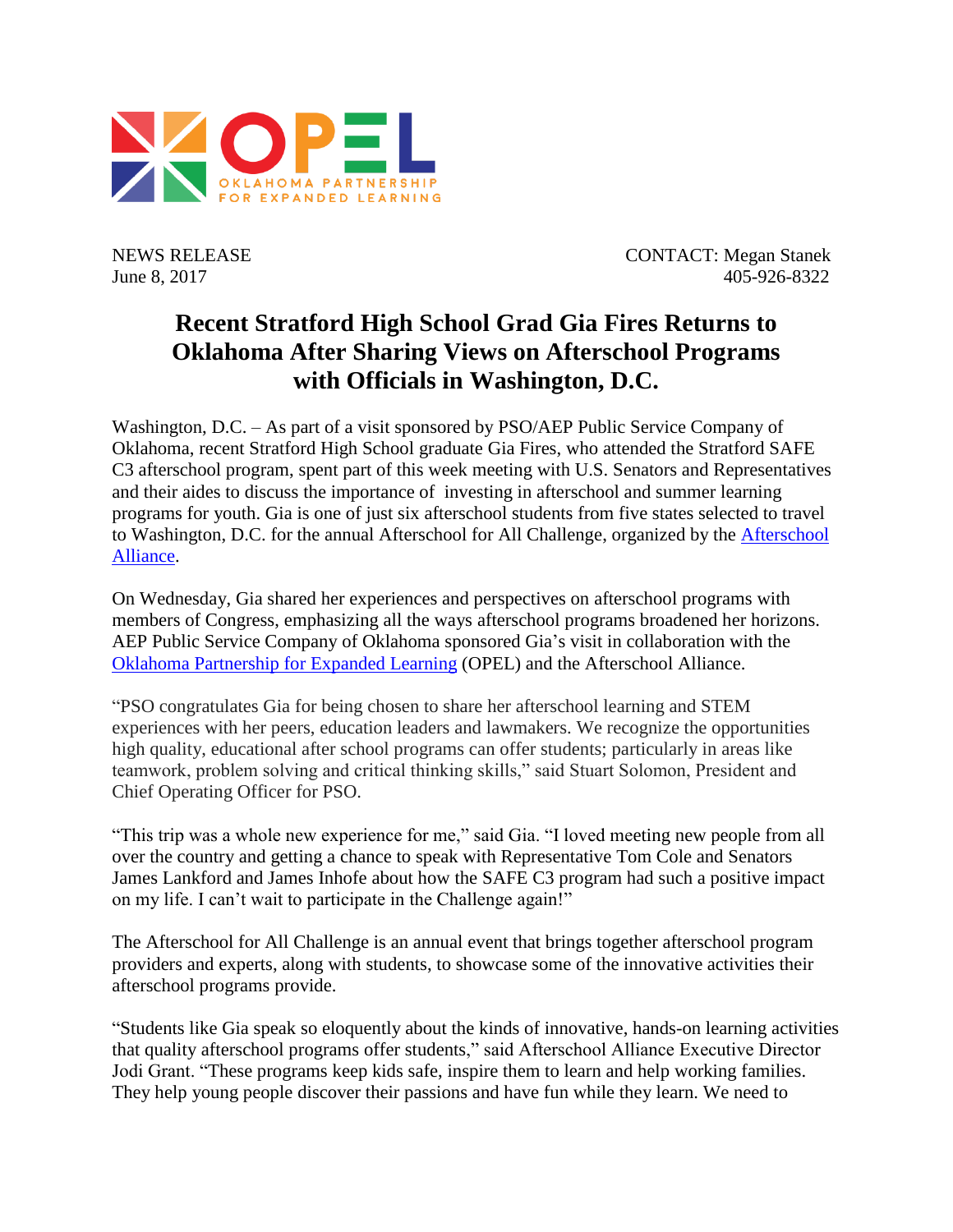

NEWS RELEASE CONTACT: Megan Stanek June 8, 2017 405-926-8322

## **Recent Stratford High School Grad Gia Fires Returns to Oklahoma After Sharing Views on Afterschool Programs with Officials in Washington, D.C.**

Washington, D.C. – As part of a visit sponsored by PSO/AEP Public Service Company of Oklahoma, recent Stratford High School graduate Gia Fires, who attended the Stratford SAFE C3 afterschool program, spent part of this week meeting with U.S. Senators and Representatives and their aides to discuss the importance of investing in afterschool and summer learning programs for youth. Gia is one of just six afterschool students from five states selected to travel to Washington, D.C. for the annual Afterschool for All Challenge, organized by the [Afterschool](http://www.afterschoolalliance.org/)  [Alliance.](http://www.afterschoolalliance.org/)

On Wednesday, Gia shared her experiences and perspectives on afterschool programs with members of Congress, emphasizing all the ways afterschool programs broadened her horizons. AEP Public Service Company of Oklahoma sponsored Gia's visit in collaboration with the [Oklahoma Partnership for Expanded Learning](http://www.opelok.org/) (OPEL) and the Afterschool Alliance.

"PSO congratulates Gia for being chosen to share her afterschool learning and STEM experiences with her peers, education leaders and lawmakers. We recognize the opportunities high quality, educational after school programs can offer students; particularly in areas like teamwork, problem solving and critical thinking skills," said Stuart Solomon, President and Chief Operating Officer for PSO.

"This trip was a whole new experience for me," said Gia. "I loved meeting new people from all over the country and getting a chance to speak with Representative Tom Cole and Senators James Lankford and James Inhofe about how the SAFE C3 program had such a positive impact on my life. I can't wait to participate in the Challenge again!"

The Afterschool for All Challenge is an annual event that brings together afterschool program providers and experts, along with students, to showcase some of the innovative activities their afterschool programs provide.

"Students like Gia speak so eloquently about the kinds of innovative, hands-on learning activities that quality afterschool programs offer students," said Afterschool Alliance Executive Director Jodi Grant. "These programs keep kids safe, inspire them to learn and help working families. They help young people discover their passions and have fun while they learn. We need to